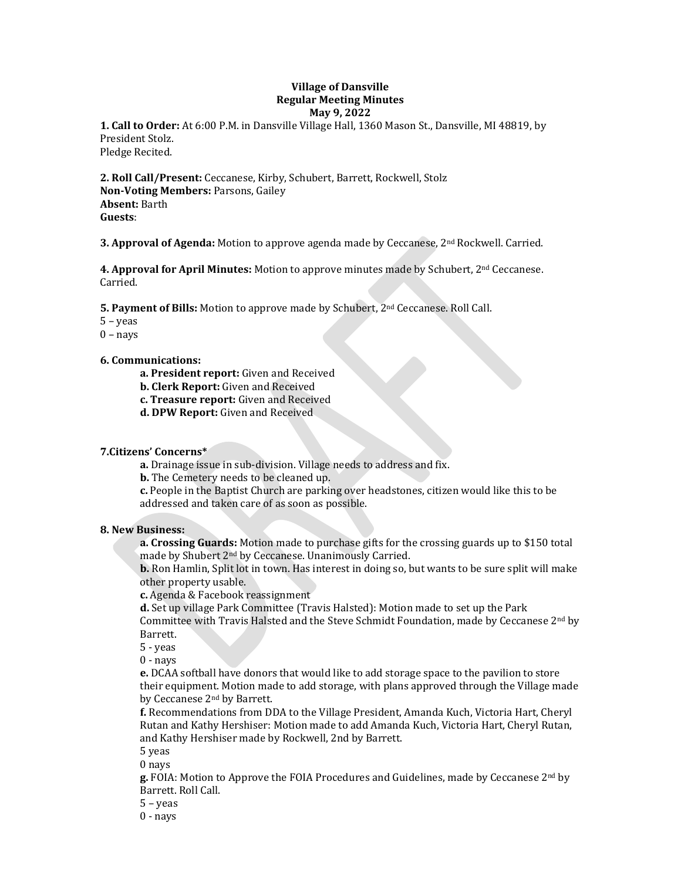## **Village of Dansville Regular Meeting Minutes May 9, 2022**

**1. Call to Order:** At 6:00 P.M. in Dansville Village Hall, 1360 Mason St., Dansville, MI 48819, by President Stolz. Pledge Recited.

**2. Roll Call/Present:** Ceccanese, Kirby, Schubert, Barrett, Rockwell, Stolz **Non-Voting Members:** Parsons, Gailey **Absent:** Barth **Guests**:

**3. Approval of Agenda:** Motion to approve agenda made by Ceccanese, 2nd Rockwell. Carried.

**4. Approval for April Minutes:** Motion to approve minutes made by Schubert, 2nd Ceccanese. Carried.

**5. Payment of Bills:** Motion to approve made by Schubert, 2nd Ceccanese. Roll Call.

5 – yeas

 $0 - nays$ 

### **6. Communications:**

**a. President report:** Given and Received

- **b. Clerk Report:** Given and Received
- **c. Treasure report:** Given and Received
- **d. DPW Report:** Given and Received

### **7.Citizens' Concerns\***

**a.** Drainage issue in sub-division. Village needs to address and fix.

**b.** The Cemetery needs to be cleaned up.

**c.** People in the Baptist Church are parking over headstones, citizen would like this to be addressed and taken care of as soon as possible.

### **8. New Business:**

**a. Crossing Guards:** Motion made to purchase gifts for the crossing guards up to \$150 total made by Shubert 2nd by Ceccanese. Unanimously Carried.

**b.** Ron Hamlin, Split lot in town. Has interest in doing so, but wants to be sure split will make other property usable.

**c.** Agenda & Facebook reassignment

**d.** Set up village Park Committee (Travis Halsted): Motion made to set up the Park Committee with Travis Halsted and the Steve Schmidt Foundation, made by Ceccanese  $2<sup>nd</sup>$  by Barrett.

5 - yeas

0 - nays

**e.** DCAA softball have donors that would like to add storage space to the pavilion to store their equipment. Motion made to add storage, with plans approved through the Village made by Ceccanese 2nd by Barrett.

**f.** Recommendations from DDA to the Village President, Amanda Kuch, Victoria Hart, Cheryl Rutan and Kathy Hershiser: Motion made to add Amanda Kuch, Victoria Hart, Cheryl Rutan, and Kathy Hershiser made by Rockwell, 2nd by Barrett.

5 yeas

0 nays

**g.** FOIA: Motion to Approve the FOIA Procedures and Guidelines, made by Ceccanese 2nd by Barrett. Roll Call.

5 – yeas

0 - nays